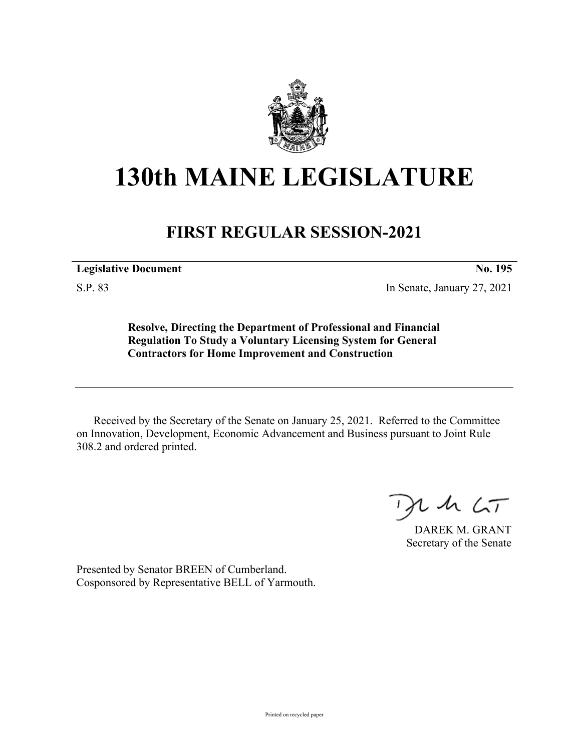

## **130th MAINE LEGISLATURE**

## **FIRST REGULAR SESSION-2021**

**Legislative Document No. 195**

S.P. 83 In Senate, January 27, 2021

**Resolve, Directing the Department of Professional and Financial Regulation To Study a Voluntary Licensing System for General Contractors for Home Improvement and Construction**

Received by the Secretary of the Senate on January 25, 2021. Referred to the Committee on Innovation, Development, Economic Advancement and Business pursuant to Joint Rule 308.2 and ordered printed.

 $125$ 

DAREK M. GRANT Secretary of the Senate

Presented by Senator BREEN of Cumberland. Cosponsored by Representative BELL of Yarmouth.